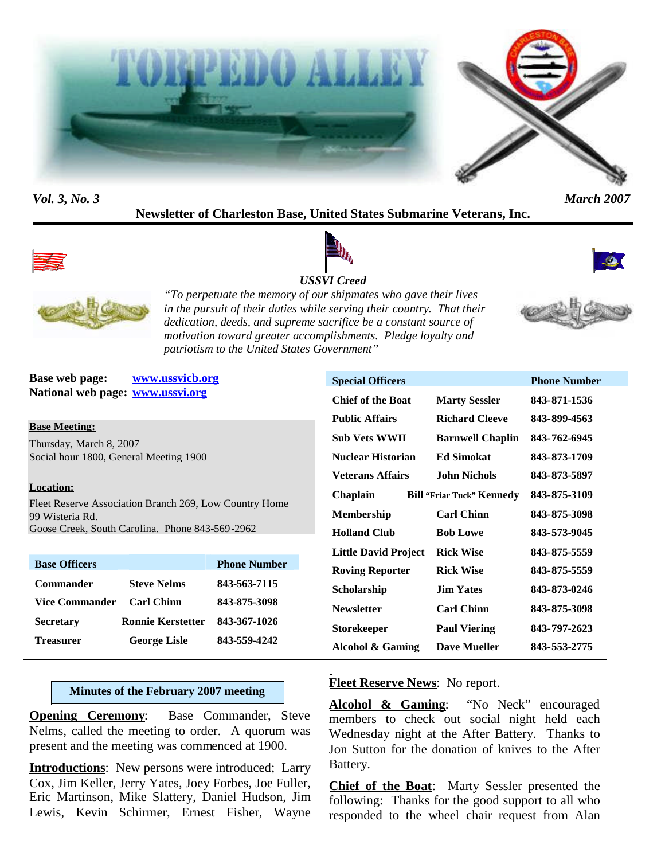



*Vol. 3, No. 3 March 2007*

# **Newsletter of Charleston Base, United States Submarine Veterans, Inc.**



# *USSVI Creed*





*"To perpetuate the memory of our shipmates who gave their lives in the pursuit of their duties while serving their country. That their dedication, deeds, and supreme sacrifice be a constant source of motivation toward greater accomplishments. Pledge loyalty and patriotism to the United States Government"*

**Base web page: www.ussvicb.org National web page: www.ussvi.org**

## **Base Meeting:**

Thursday, March 8, 2007 Social hour 1800, General Meeting 1900

## **Location:**

Fleet Reserve Association Branch 269, Low Country Home 99 Wisteria Rd. Goose Creek, South Carolina. Phone 843-569-2962

| <b>Base Officers</b>  |                          | <b>Phone Number</b> |
|-----------------------|--------------------------|---------------------|
| <b>Commander</b>      | <b>Steve Nelms</b>       | 843-563-7115        |
| <b>Vice Commander</b> | <b>Carl Chinn</b>        | 843-875-3098        |
| <b>Secretary</b>      | <b>Ronnie Kerstetter</b> | 843-367-1026        |
| <b>Treasurer</b>      | <b>George Lisle</b>      | 843-559-4242        |

# **Minutes of the February 2007 meeting**

**Opening Ceremony:** Base Commander, Steve Nelms, called the meeting to order. A quorum was present and the meeting was commenced at 1900.

**Introductions**: New persons were introduced; Larry Cox, Jim Keller, Jerry Yates, Joey Forbes, Joe Fuller, Eric Martinson, Mike Slattery, Daniel Hudson, Jim Lewis, Kevin Schirmer, Ernest Fisher, Wayne

| <b>Special Officers</b>     |                                  | <b>Phone Number</b> |
|-----------------------------|----------------------------------|---------------------|
| <b>Chief of the Boat</b>    | <b>Marty Sessler</b>             | 843-871-1536        |
| <b>Public Affairs</b>       | <b>Richard Cleeve</b>            | 843-899-4563        |
| <b>Sub Vets WWII</b>        | <b>Barnwell Chaplin</b>          | 843-762-6945        |
| Nuclear Historian           | <b>Ed Simokat</b>                | 843-873-1709        |
| Veterans Affairs            | John Nichols.                    | 843-873-5897        |
| Chaplain                    | <b>Bill "Friar Tuck" Kennedy</b> | 843-875-3109        |
| Membership                  | <b>Carl Chinn</b>                | 843-875-3098        |
| <b>Holland Club</b>         | <b>Bob Lowe</b>                  | 843-573-9045        |
| <b>Little David Project</b> | <b>Rick Wise</b>                 | 843-875-5559        |
| <b>Roving Reporter</b>      | <b>Rick Wise</b>                 | 843-875-5559        |
| Scholarship                 | <b>Jim Yates</b>                 | 843-873-0246        |
| <b>Newsletter</b>           | <b>Carl Chinn</b>                | 843-875-3098        |
| Storekeeper                 | <b>Paul Viering</b>              | 843-797-2623        |
| Alcohol & Gaming            | <b>Dave Mueller</b>              | 843-553-2775        |

**Fleet Reserve News**: No report.

**Alcohol & Gaming**: "No Neck" encouraged members to check out social night held each Wednesday night at the After Battery. Thanks to Jon Sutton for the donation of knives to the After Battery.

**Chief of the Boat**: Marty Sessler presented the following: Thanks for the good support to all who responded to the wheel chair request from Alan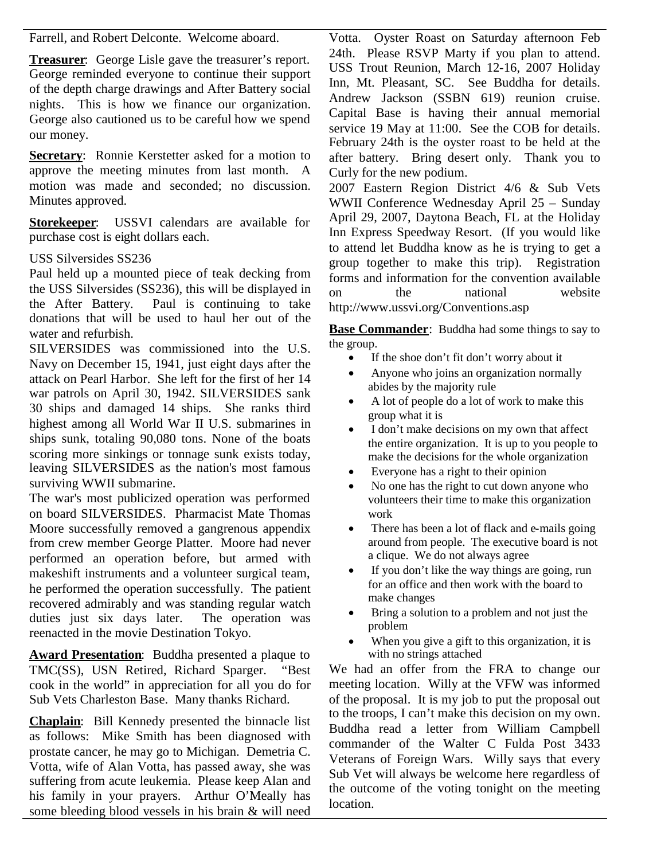Farrell, and Robert Delconte. Welcome aboard.

**Treasurer**: George Lisle gave the treasurer's report. George reminded everyone to continue their support of the depth charge drawings and After Battery social nights. This is how we finance our organization. George also cautioned us to be careful how we spend our money.

**Secretary:** Ronnie Kerstetter asked for a motion to approve the meeting minutes from last month. A motion was made and seconded; no discussion. Minutes approved.

**Storekeeper**: USSVI calendars are available for purchase cost is eight dollars each.

# USS Silversides SS236

Paul held up a mounted piece of teak decking from the USS Silversides (SS236), this will be displayed in  $\frac{101}{100}$ the After Battery. Paul is continuing to take donations that will be used to haul her out of the water and refurbish.

SILVERSIDES was commissioned into the U.S. Navy on December 15, 1941, just eight days after the attack on Pearl Harbor. She left for the first of her 14 war patrols on April 30, 1942. SILVERSIDES sank 30 ships and damaged 14 ships. She ranks third highest among all World War II U.S. submarines in ships sunk, totaling 90,080 tons. None of the boats scoring more sinkings or tonnage sunk exists today, leaving SILVERSIDES as the nation's most famous surviving WWII submarine.

The war's most publicized operation was performed on board SILVERSIDES. Pharmacist Mate Thomas Moore successfully removed a gangrenous appendix from crew member George Platter. Moore had never performed an operation before, but armed with makeshift instruments and a volunteer surgical team, he performed the operation successfully. The patient recovered admirably and was standing regular watch duties just six days later. The operation was reenacted in the movie Destination Tokyo.

**Award Presentation**: Buddha presented a plaque to TMC(SS), USN Retired, Richard Sparger. "Best cook in the world" in appreciation for all you do for Sub Vets Charleston Base. Many thanks Richard.

**Chaplain**: Bill Kennedy presented the binnacle list as follows: Mike Smith has been diagnosed with prostate cancer, he may go to Michigan. Demetria C. Votta, wife of Alan Votta, has passed away, she was suffering from acute leukemia. Please keep Alan and his family in your prayers. Arthur O'Meally has some bleeding blood vessels in his brain & will need

Votta. Oyster Roast on Saturday afternoon Feb 24th. Please RSVP Marty if you plan to attend. USS Trout Reunion, March 12-16, 2007 Holiday Inn, Mt. Pleasant, SC. See Buddha for details. Andrew Jackson (SSBN 619) reunion cruise. Capital Base is having their annual memorial service 19 May at 11:00. See the COB for details. February 24th is the oyster roast to be held at the after battery. Bring desert only. Thank you to Curly for the new podium.

2007 Eastern Region District 4/6 & Sub Vets WWII Conference Wednesday April 25 – Sunday April 29, 2007, Daytona Beach, FL at the Holiday Inn Express Speedway Resort. (If you would like to attend let Buddha know as he is trying to get a group together to make this trip). Registration forms and information for the convention available the national website http://www.ussvi.org/Conventions.asp

**Base Commander:** Buddha had some things to say to the group.

- If the shoe don't fit don't worry about it
- Anyone who joins an organization normally abides by the majority rule
- A lot of people do a lot of work to make this group what it is
- I don't make decisions on my own that affect the entire organization. It is up to you people to make the decisions for the whole organization
- Everyone has a right to their opinion
- No one has the right to cut down anyone who volunteers their time to make this organization work
- There has been a lot of flack and e-mails going around from people. The executive board is not a clique. We do not always agree
- If you don't like the way things are going, run for an office and then work with the board to make changes
- Bring a solution to a problem and not just the problem
- When you give a gift to this organization, it is with no strings attached

We had an offer from the FRA to change our meeting location. Willy at the VFW was informed of the proposal. It is my job to put the proposal out to the troops, I can't make this decision on my own. Buddha read a letter from William Campbell commander of the Walter C Fulda Post 3433 Veterans of Foreign Wars. Willy says that every Sub Vet will always be welcome here regardless of the outcome of the voting tonight on the meeting location.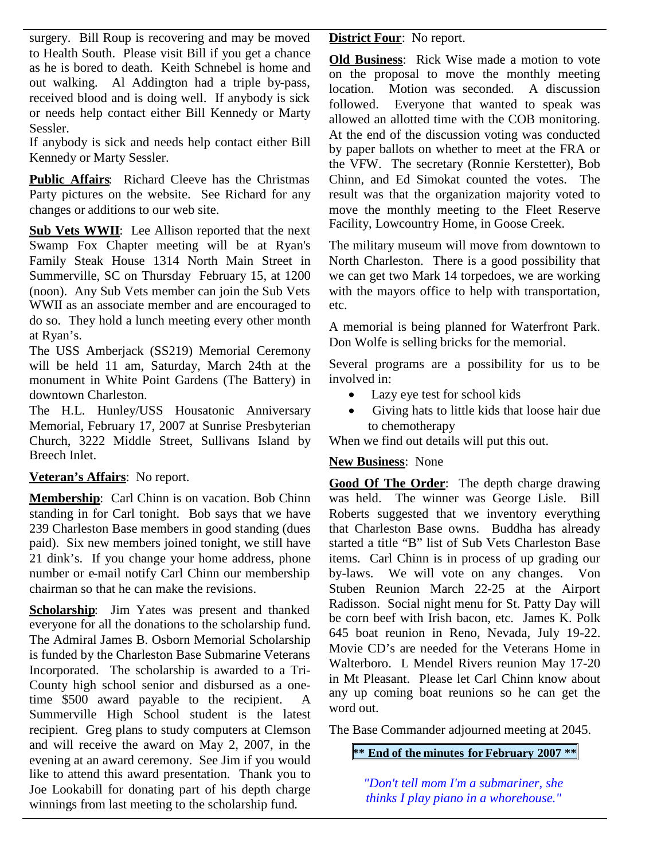surgery. Bill Roup is recovering and may be moved to Health South. Please visit Bill if you get a chance as he is bored to death. Keith Schnebel is home and out walking. Al Addington had a triple by-pass, received blood and is doing well. If anybody is sick or needs help contact either Bill Kennedy or Marty Sessler.

If anybody is sick and needs help contact either Bill Kennedy or Marty Sessler.

**Public Affairs**: Richard Cleeve has the Christmas Party pictures on the website. See Richard for any changes or additions to our web site.

**Sub Vets WWII**: Lee Allison reported that the next Swamp Fox Chapter meeting will be at Ryan's Family Steak House 1314 North Main Street in Summerville, SC on Thursday February 15, at 1200 (noon). Any Sub Vets member can join the Sub Vets WWII as an associate member and are encouraged to do so. They hold a lunch meeting every other month at Ryan's.

The USS Amberjack (SS219) Memorial Ceremony will be held 11 am, Saturday, March 24th at the monument in White Point Gardens (The Battery) in downtown Charleston.

The H.L. Hunley/USS Housatonic Anniversary Memorial, February 17, 2007 at Sunrise Presbyterian Church, 3222 Middle Street, Sullivans Island by Breech Inlet.

# **Veteran's Affairs**: No report.

**Membership**: Carl Chinn is on vacation. Bob Chinn standing in for Carl tonight. Bob says that we have 239 Charleston Base members in good standing (dues paid). Six new members joined tonight, we still have 21 dink's. If you change your home address, phone number or e-mail notify Carl Chinn our membership chairman so that he can make the revisions.

**Scholarship**: Jim Yates was present and thanked everyone for all the donations to the scholarship fund. The Admiral James B. Osborn Memorial Scholarship is funded by the Charleston Base Submarine Veterans Incorporated. The scholarship is awarded to a Tri-County high school senior and disbursed as a onetime \$500 award payable to the recipient. A Summerville High School student is the latest recipient. Greg plans to study computers at Clemson and will receive the award on May 2, 2007, in the evening at an award ceremony. See Jim if you would like to attend this award presentation. Thank you to Joe Lookabill for donating part of his depth charge winnings from last meeting to the scholarship fund.

**District Four**: No report.

**Old Business**: Rick Wise made a motion to vote on the proposal to move the monthly meeting location. Motion was seconded. A discussion followed. Everyone that wanted to speak was allowed an allotted time with the COB monitoring. At the end of the discussion voting was conducted by paper ballots on whether to meet at the FRA or the VFW. The secretary (Ronnie Kerstetter), Bob Chinn, and Ed Simokat counted the votes. The result was that the organization majority voted to move the monthly meeting to the Fleet Reserve Facility, Lowcountry Home, in Goose Creek.

The military museum will move from downtown to North Charleston. There is a good possibility that we can get two Mark 14 torpedoes, we are working with the mayors office to help with transportation, etc.

A memorial is being planned for Waterfront Park. Don Wolfe is selling bricks for the memorial.

Several programs are a possibility for us to be involved in:

- Lazy eye test for school kids
- Giving hats to little kids that loose hair due to chemotherapy

When we find out details will put this out.

# **New Business**: None

**Good Of The Order**: The depth charge drawing was held. The winner was George Lisle. Bill Roberts suggested that we inventory everything that Charleston Base owns. Buddha has already started a title "B" list of Sub Vets Charleston Base items. Carl Chinn is in process of up grading our by-laws. We will vote on any changes. Von Stuben Reunion March 22-25 at the Airport Radisson. Social night menu for St. Patty Day will be corn beef with Irish bacon, etc. James K. Polk 645 boat reunion in Reno, Nevada, July 19-22. Movie CD's are needed for the Veterans Home in Walterboro. L Mendel Rivers reunion May 17-20 in Mt Pleasant. Please let Carl Chinn know about any up coming boat reunions so he can get the word out.

The Base Commander adjourned meeting at 2045.

# **\*\* End of the minutes for February 2007 \*\***

*"Don't tell mom I'm a submariner, she thinks I play piano in a whorehouse."*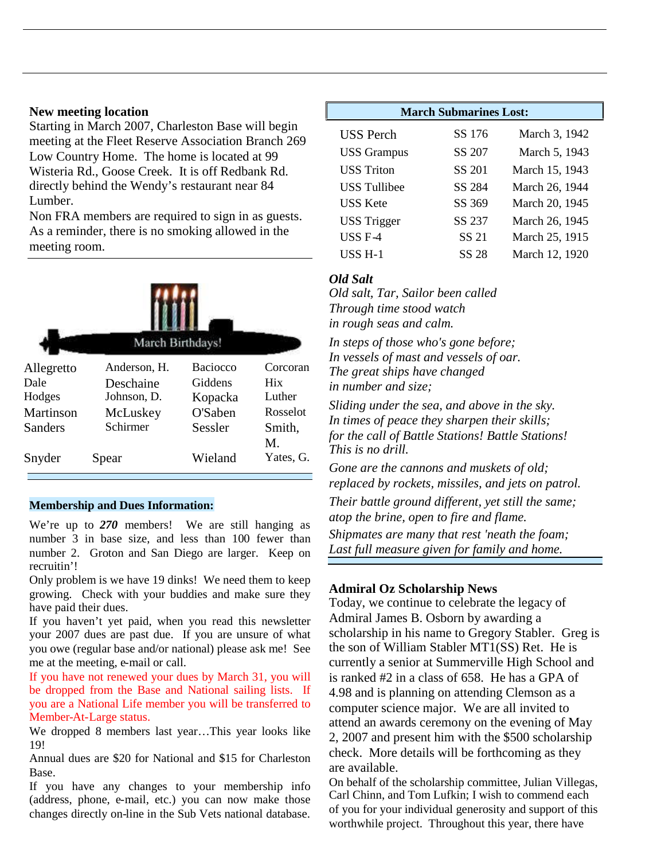## **New meeting location**

Starting in March 2007, Charleston Base will begin meeting at the Fleet Reserve Association Branch 269 Low Country Home. The home is located at 99 Wisteria Rd., Goose Creek. It is off Redbank Rd. directly behind the Wendy's restaurant near 84 Lumber.

Non FRA members are required to sign in as guests. As a reminder, there is no smoking allowed in the meeting room.

| March Birthdays! |              |                 |                 |  |  |  |
|------------------|--------------|-----------------|-----------------|--|--|--|
| Allegretto       | Anderson, H. | <b>Baciocco</b> | Corcoran        |  |  |  |
| Dale             | Deschaine    | Giddens         | <b>Hix</b>      |  |  |  |
| Hodges           | Johnson, D.  | Kopacka         | Luther          |  |  |  |
| Martinson        | McLuskey     | O'Saben         | Rosselot        |  |  |  |
| Sanders          | Schirmer     | Sessler         | Smith,          |  |  |  |
| Snyder           | Spear        | Wieland         | M.<br>Yates, G. |  |  |  |

## **Membership and Dues Information:**

We're up to 270 members! We are still hanging as number 3 in base size, and less than 100 fewer than number 2. Groton and San Diego are larger. Keep on recruitin'!

Only problem is we have 19 dinks! We need them to keep growing. Check with your buddies and make sure they have paid their dues.

If you haven't yet paid, when you read this newsletter your 2007 dues are past due. If you are unsure of what you owe (regular base and/or national) please ask me! See me at the meeting, e-mail or call.

If you have not renewed your dues by March 31, you will be dropped from the Base and National sailing lists. If you are a National Life member you will be transferred to Member-At-Large status.

We dropped 8 members last year…This year looks like 19!

Annual dues are \$20 for National and \$15 for Charleston Base.

If you have any changes to your membership info (address, phone, e-mail, etc.) you can now make those changes directly on-line in the Sub Vets national database.

| <b>March Submarines Lost:</b> |        |                |  |  |
|-------------------------------|--------|----------------|--|--|
| <b>USS</b> Perch              | SS 176 | March 3, 1942  |  |  |
| <b>USS Grampus</b>            | SS 207 | March 5, 1943  |  |  |
| <b>USS Triton</b>             | SS 201 | March 15, 1943 |  |  |
| <b>USS</b> Tullibee           | SS 284 | March 26, 1944 |  |  |
| <b>USS Kete</b>               | SS 369 | March 20, 1945 |  |  |
| <b>USS Trigger</b>            | SS 237 | March 26, 1945 |  |  |
| $USS F-4$                     | SS 21  | March 25, 1915 |  |  |
| $USS H-1$                     | SS 28  | March 12, 1920 |  |  |

# *Old Salt*

*Old salt, Tar, Sailor been called Through time stood watch in rough seas and calm.*

*In steps of those who's gone before; In vessels of mast and vessels of oar. The great ships have changed in number and size;*

*Sliding under the sea, and above in the sky. In times of peace they sharpen their skills; for the call of Battle Stations! Battle Stations! This is no drill.*

*Gone are the cannons and muskets of old; replaced by rockets, missiles, and jets on patrol. Their battle ground different, yet still the same; atop the brine, open to fire and flame. Shipmates are many that rest 'neath the foam; Last full measure given for family and home.*

# **Admiral Oz Scholarship News**

Today, we continue to celebrate the legacy of Admiral James B. Osborn by awarding a scholarship in his name to Gregory Stabler. Greg is the son of William Stabler MT1(SS) Ret. He is currently a senior at Summerville High School and is ranked #2 in a class of 658. He has a GPA of 4.98 and is planning on attending Clemson as a computer science major. We are all invited to attend an awards ceremony on the evening of May 2, 2007 and present him with the \$500 scholarship check. More details will be forthcoming as they are available.

On behalf of the scholarship committee, Julian Villegas, Carl Chinn, and Tom Lufkin; I wish to commend each of you for your individual generosity and support of this worthwhile project. Throughout this year, there have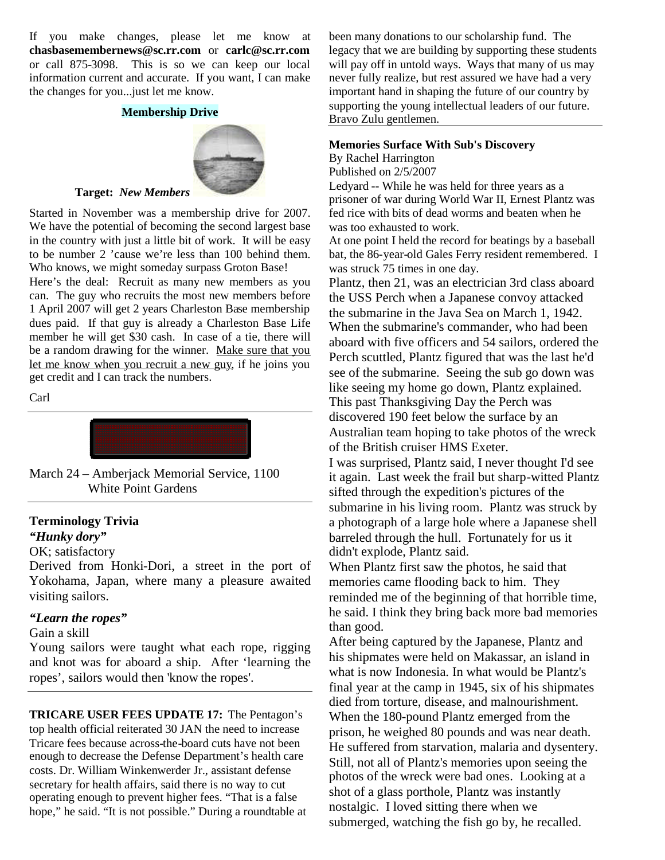If you make changes, please let me know at **chasbasemembernews@sc.rr.com** or **carlc@sc.rr.com** or call 875-3098. This is so we can keep our local information current and accurate. If you want, I can make the changes for you...just let me know.

#### **Membership Drive**



#### **Target:** *New Members*

Started in November was a membership drive for 2007. We have the potential of becoming the second largest base in the country with just a little bit of work. It will be easy to be number 2 'cause we're less than 100 behind them. Who knows, we might someday surpass Groton Base!

Here's the deal: Recruit as many new members as you can. The guy who recruits the most new members before 1 April 2007 will get 2 years Charleston Base membership dues paid. If that guy is already a Charleston Base Life member he will get \$30 cash. In case of a tie, there will be a random drawing for the winner. Make sure that you let me know when you recruit a new guy, if he joins you get credit and I can track the numbers.

Carl



March 24 – Amberjack Memorial Service, 1100 White Point Gardens

#### **Terminology Trivia**

## *"Hunky dory"*

#### OK; satisfactory

Derived from Honki-Dori, a street in the port of Yokohama, Japan, where many a pleasure awaited visiting sailors.

#### *"Learn the ropes"*

#### Gain a skill

Young sailors were taught what each rope, rigging and knot was for aboard a ship. After 'learning the ropes', sailors would then 'know the ropes'.

**TRICARE USER FEES UPDATE 17:** The Pentagon's top health official reiterated 30 JAN the need to increase Tricare fees because across-the-board cuts have not been enough to decrease the Defense Department's health care costs. Dr. William Winkenwerder Jr., assistant defense secretary for health affairs, said there is no way to cut operating enough to prevent higher fees. "That is a false hope," he said. "It is not possible." During a roundtable at

been many donations to our scholarship fund. The legacy that we are building by supporting these students will pay off in untold ways. Ways that many of us may never fully realize, but rest assured we have had a very important hand in shaping the future of our country by supporting the young intellectual leaders of our future. Bravo Zulu gentlemen.

### **Memories Surface With Sub's Discovery**

By Rachel Harrington

Published on 2/5/2007

Ledyard -- While he was held for three years as a prisoner of war during World War II, Ernest Plantz was fed rice with bits of dead worms and beaten when he was too exhausted to work.

At one point I held the record for beatings by a baseball bat, the 86-year-old Gales Ferry resident remembered. I was struck 75 times in one day.

Plantz, then 21, was an electrician 3rd class aboard the USS Perch when a Japanese convoy attacked the submarine in the Java Sea on March 1, 1942. When the submarine's commander, who had been aboard with five officers and 54 sailors, ordered the Perch scuttled, Plantz figured that was the last he'd see of the submarine. Seeing the sub go down was like seeing my home go down, Plantz explained. This past Thanksgiving Day the Perch was discovered 190 feet below the surface by an Australian team hoping to take photos of the wreck of the British cruiser HMS Exeter.

I was surprised, Plantz said, I never thought I'd see it again. Last week the frail but sharp-witted Plantz sifted through the expedition's pictures of the submarine in his living room. Plantz was struck by a photograph of a large hole where a Japanese shell barreled through the hull. Fortunately for us it didn't explode, Plantz said.

When Plantz first saw the photos, he said that memories came flooding back to him. They reminded me of the beginning of that horrible time, he said. I think they bring back more bad memories than good.

After being captured by the Japanese, Plantz and his shipmates were held on Makassar, an island in what is now Indonesia. In what would be Plantz's final year at the camp in 1945, six of his shipmates died from torture, disease, and malnourishment. When the 180-pound Plantz emerged from the prison, he weighed 80 pounds and was near death. He suffered from starvation, malaria and dysentery. Still, not all of Plantz's memories upon seeing the photos of the wreck were bad ones. Looking at a shot of a glass porthole, Plantz was instantly nostalgic. I loved sitting there when we submerged, watching the fish go by, he recalled.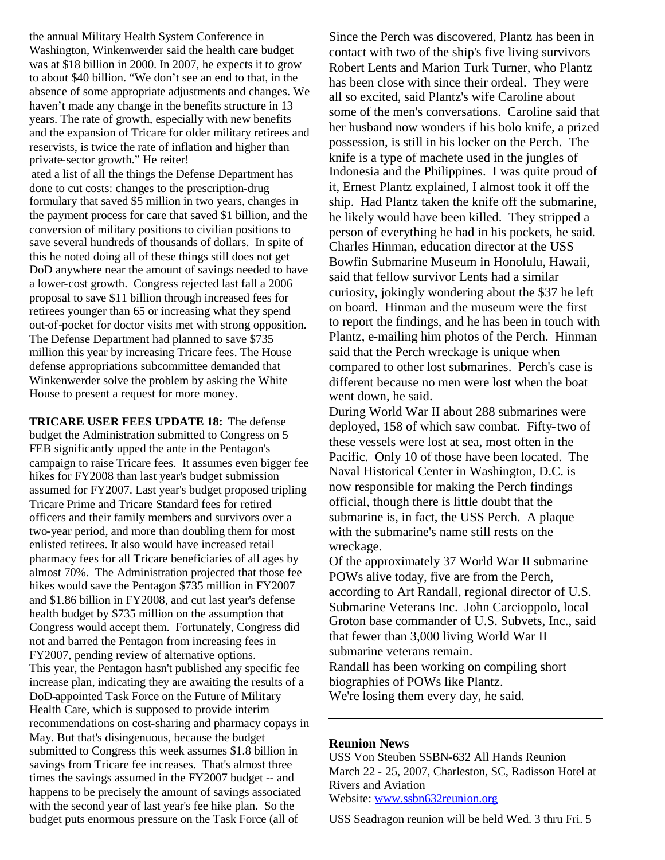the annual Military Health System Conference in Washington, Winkenwerder said the health care budget was at \$18 billion in 2000. In 2007, he expects it to grow to about \$40 billion. "We don't see an end to that, in the absence of some appropriate adjustments and changes. We haven't made any change in the benefits structure in 13 years. The rate of growth, especially with new benefits and the expansion of Tricare for older military retirees and reservists, is twice the rate of inflation and higher than private-sector growth." He reiter!

ated a list of all the things the Defense Department has done to cut costs: changes to the prescription-drug formulary that saved \$5 million in two years, changes in the payment process for care that saved \$1 billion, and the conversion of military positions to civilian positions to save several hundreds of thousands of dollars. In spite of this he noted doing all of these things still does not get DoD anywhere near the amount of savings needed to have a lower-cost growth. Congress rejected last fall a 2006 proposal to save \$11 billion through increased fees for retirees younger than 65 or increasing what they spend out-of-pocket for doctor visits met with strong opposition. The Defense Department had planned to save \$735 million this year by increasing Tricare fees. The House defense appropriations subcommittee demanded that Winkenwerder solve the problem by asking the White House to present a request for more money.

**TRICARE USER FEES UPDATE 18:** The defense budget the Administration submitted to Congress on 5 FEB significantly upped the ante in the Pentagon's campaign to raise Tricare fees. It assumes even bigger fee hikes for FY2008 than last year's budget submission assumed for FY2007. Last year's budget proposed tripling Tricare Prime and Tricare Standard fees for retired officers and their family members and survivors over a two-year period, and more than doubling them for most enlisted retirees. It also would have increased retail pharmacy fees for all Tricare beneficiaries of all ages by almost 70%. The Administration projected that those fee hikes would save the Pentagon \$735 million in FY2007 and \$1.86 billion in FY2008, and cut last year's defense health budget by \$735 million on the assumption that Congress would accept them. Fortunately, Congress did not and barred the Pentagon from increasing fees in FY2007, pending review of alternative options. This year, the Pentagon hasn't published any specific fee increase plan, indicating they are awaiting the results of a DoD-appointed Task Force on the Future of Military Health Care, which is supposed to provide interim recommendations on cost-sharing and pharmacy copays in May. But that's disingenuous, because the budget submitted to Congress this week assumes \$1.8 billion in savings from Tricare fee increases. That's almost three times the savings assumed in the FY2007 budget -- and happens to be precisely the amount of savings associated with the second year of last year's fee hike plan. So the budget puts enormous pressure on the Task Force (all of

Since the Perch was discovered, Plantz has been in contact with two of the ship's five living survivors Robert Lents and Marion Turk Turner, who Plantz has been close with since their ordeal. They were all so excited, said Plantz's wife Caroline about some of the men's conversations. Caroline said that her husband now wonders if his bolo knife, a prized possession, is still in his locker on the Perch. The knife is a type of machete used in the jungles of Indonesia and the Philippines. I was quite proud of it, Ernest Plantz explained, I almost took it off the ship. Had Plantz taken the knife off the submarine, he likely would have been killed. They stripped a person of everything he had in his pockets, he said. Charles Hinman, education director at the USS Bowfin Submarine Museum in Honolulu, Hawaii, said that fellow survivor Lents had a similar curiosity, jokingly wondering about the \$37 he left on board. Hinman and the museum were the first to report the findings, and he has been in touch with Plantz, e-mailing him photos of the Perch. Hinman said that the Perch wreckage is unique when compared to other lost submarines. Perch's case is different because no men were lost when the boat went down, he said.

During World War II about 288 submarines were deployed, 158 of which saw combat. Fifty-two of these vessels were lost at sea, most often in the Pacific. Only 10 of those have been located. The Naval Historical Center in Washington, D.C. is now responsible for making the Perch findings official, though there is little doubt that the submarine is, in fact, the USS Perch. A plaque with the submarine's name still rests on the wreckage.

Of the approximately 37 World War II submarine POWs alive today, five are from the Perch, according to Art Randall, regional director of U.S. Submarine Veterans Inc. John Carcioppolo, local Groton base commander of U.S. Subvets, Inc., said that fewer than 3,000 living World War II submarine veterans remain. Randall has been working on compiling short

biographies of POWs like Plantz. We're losing them every day, he said.

## **Reunion News**

USS Von Steuben SSBN-632 All Hands Reunion March 22 - 25, 2007, Charleston, SC, Radisson Hotel at Rivers and Aviation Website: www.ssbn632reunion.org

USS Seadragon reunion will be held Wed. 3 thru Fri. 5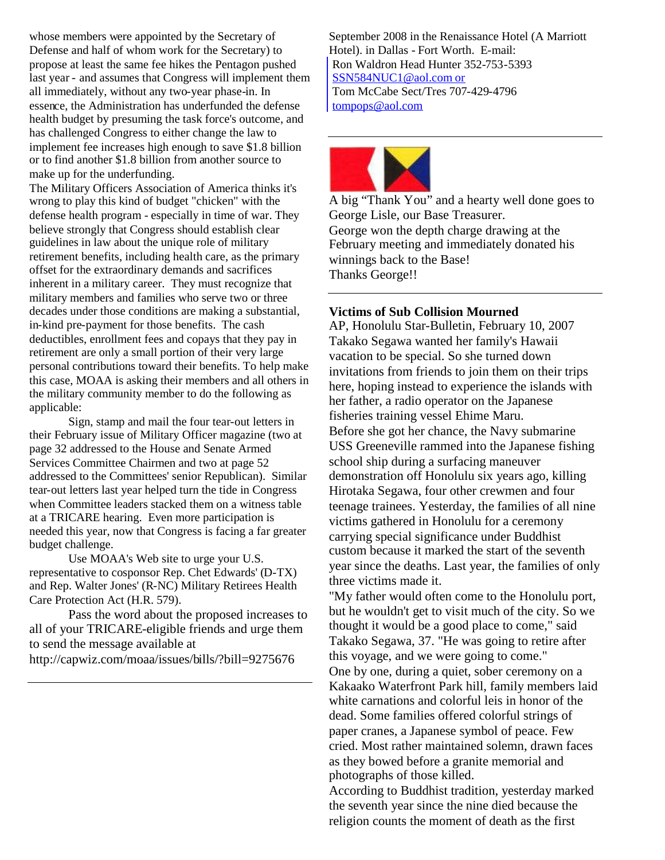whose members were appointed by the Secretary of Defense and half of whom work for the Secretary) to propose at least the same fee hikes the Pentagon pushed last year - and assumes that Congress will implement them all immediately, without any two-year phase-in. In essence, the Administration has underfunded the defense health budget by presuming the task force's outcome, and has challenged Congress to either change the law to implement fee increases high enough to save \$1.8 billion or to find another \$1.8 billion from another source to make up for the underfunding.

The Military Officers Association of America thinks it's wrong to play this kind of budget "chicken" with the defense health program - especially in time of war. They believe strongly that Congress should establish clear guidelines in law about the unique role of military retirement benefits, including health care, as the primary offset for the extraordinary demands and sacrifices inherent in a military career. They must recognize that military members and families who serve two or three decades under those conditions are making a substantial, in-kind pre-payment for those benefits. The cash deductibles, enrollment fees and copays that they pay in retirement are only a small portion of their very large personal contributions toward their benefits. To help make this case, MOAA is asking their members and all others in the military community member to do the following as applicable:

Sign, stamp and mail the four tear-out letters in their February issue of Military Officer magazine (two at page 32 addressed to the House and Senate Armed Services Committee Chairmen and two at page 52 addressed to the Committees' senior Republican). Similar tear-out letters last year helped turn the tide in Congress when Committee leaders stacked them on a witness table at a TRICARE hearing. Even more participation is needed this year, now that Congress is facing a far greater budget challenge.

Use MOAA's Web site to urge your U.S. representative to cosponsor Rep. Chet Edwards' (D-TX) and Rep. Walter Jones' (R-NC) Military Retirees Health Care Protection Act (H.R. 579).

Pass the word about the proposed increases to all of your TRICARE-eligible friends and urge them to send the message available at http://capwiz.com/moaa/issues/bills/?bill=9275676

September 2008 in the Renaissance Hotel (A Marriott Hotel). in Dallas - Fort Worth. E-mail: Ron Waldron Head Hunter 352-753-5393 SSN584NUC1@aol.com or Tom McCabe Sect/Tres 707-429-4796 tompops@aol.com



A big "Thank You" and a hearty well done goes to George Lisle, our Base Treasurer. George won the depth charge drawing at the February meeting and immediately donated his winnings back to the Base! Thanks George!!

# **Victims of Sub Collision Mourned**

AP, Honolulu Star-Bulletin, February 10, 2007 Takako Segawa wanted her family's Hawaii vacation to be special. So she turned down invitations from friends to join them on their trips here, hoping instead to experience the islands with her father, a radio operator on the Japanese fisheries training vessel Ehime Maru. Before she got her chance, the Navy submarine USS Greeneville rammed into the Japanese fishing school ship during a surfacing maneuver demonstration off Honolulu six years ago, killing Hirotaka Segawa, four other crewmen and four teenage trainees. Yesterday, the families of all nine victims gathered in Honolulu for a ceremony carrying special significance under Buddhist custom because it marked the start of the seventh year since the deaths. Last year, the families of only three victims made it.

"My father would often come to the Honolulu port, but he wouldn't get to visit much of the city. So we thought it would be a good place to come," said Takako Segawa, 37. "He was going to retire after this voyage, and we were going to come." One by one, during a quiet, sober ceremony on a Kakaako Waterfront Park hill, family members laid white carnations and colorful leis in honor of the dead. Some families offered colorful strings of paper cranes, a Japanese symbol of peace. Few cried. Most rather maintained solemn, drawn faces as they bowed before a granite memorial and photographs of those killed.

According to Buddhist tradition, yesterday marked the seventh year since the nine died because the religion counts the moment of death as the first